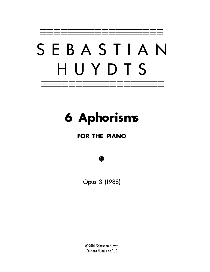# SEBASTIAN HUYDTS

## **6 Aphorisms**

### **FOR THE PIANO**

Opus 3 (1988)

©2004 Sebastian Huydts **Edicions Humus No.1US**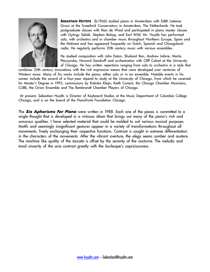

**SEBASTIAN HUYDTS** (b.1966) studied piano in Amsterdam with Edith Lateiner Grosz at the Sweelinck Conservatory in Amsterdam, The Netherlands. He took postgraduate classes with Rian de Waal and participated in piano master classes with György Sebök, Stephen Bishop, and Earl Wild. Mr. Huydts has performed solo, with orchestra and in chamber music throughout Northern Europe, Spain and the Midwest and has appeared frequently on Dutch, Spanish and Chicagoland radio. He regularly performs 20th century music with various ensembles.

He studied composition with John Eaton, Shulamit Ran, Andrew Imbrie, Marta Ptaszynska, Howard Sandroff and orchestration with Cliff Colnot at the University of Chicago. He has written repertoire ranging from solo to orchestra in a style that

combines 20th century innovations with the rich expressive means that were developed over centuries of Western music. Many of his works include the piano, either solo or in an ensemble. Notable events in his career include the award of a four-year stipend to study at the University of Chicago, from which he received his Master's Degree in 1995, commissions by Katinka Kleijn, Keith Conant, the Chicago Chamber Musicians, CUBE, the Orion Ensemble and The Rembrandt Chamber Players of Chicago.

At present, Sebastian Huydts is Director of Keyboard Studies at the Music Department of Columbia College Chicago, and is on the board of the PianoForte Foundation Chicago.

The **Six Aphorisms For Piano** were written in 1988. Each one of the pieces is committed to a single thought that is developed in a virtuoso idiom that brings out many of the piano's rich and sonorous qualities. I have selected material that could be molded to suit various musical purposes. Motifs and seemingly insignificant gestures appear in a variety of transformations throughout all movements, freely exchanging their respective functions. Contrast is sought in extreme differentiation in the characters of the movements. After the vibrant *overture*, the *elegy* seems somber and austere. The machine like quality of the *toccata* is offset by the serenity of the *nocturne*. The melodic and tonal sincerity of the *aria* contrast greatly with the *burlesqu*e's capriciousness.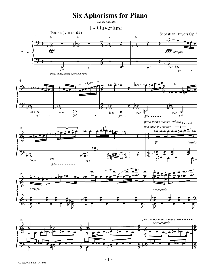#### **Six Aphorisms for Piano**

*(to my parents)*



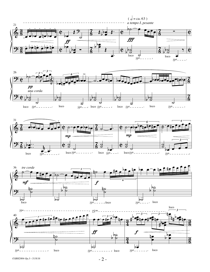





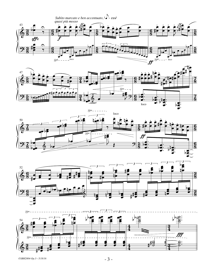







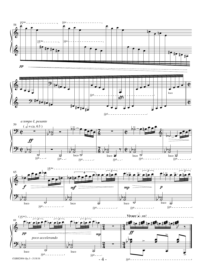





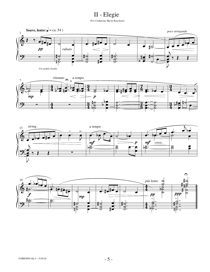#### II - Elegie

*(For Catharina Maria Ronchetti)*







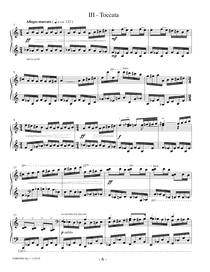#### III - Toccata











- 6 - *©SBH2004-Op.3—5/18/16*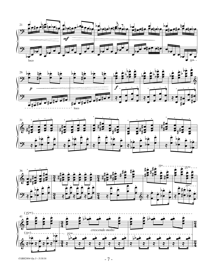







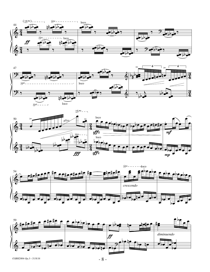







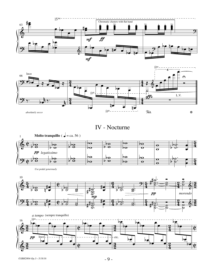







*Use pedal generously*



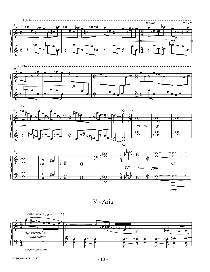







V - Aria

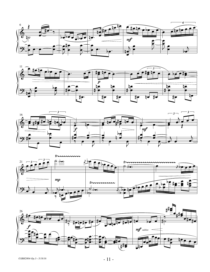







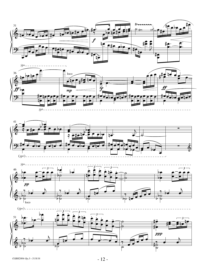







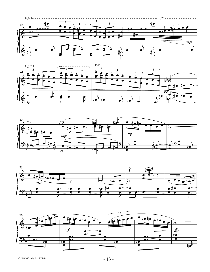







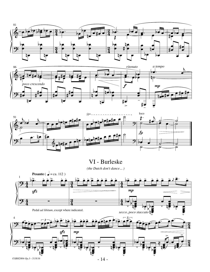





VI - Burleske

*(the Dutch don't dance... )*

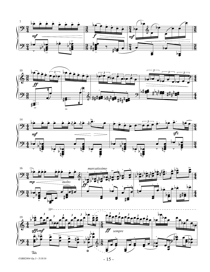









©SBH2004-Op.3-5/18/16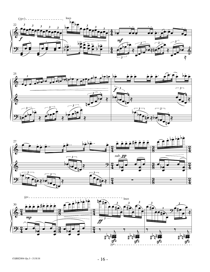





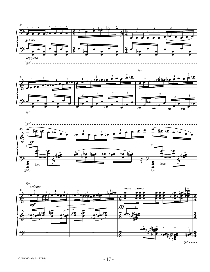





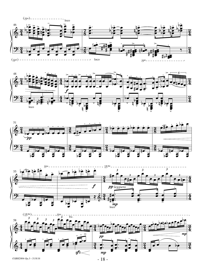







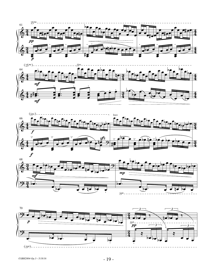







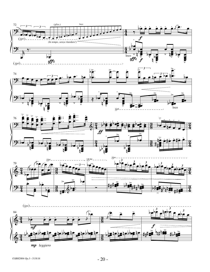